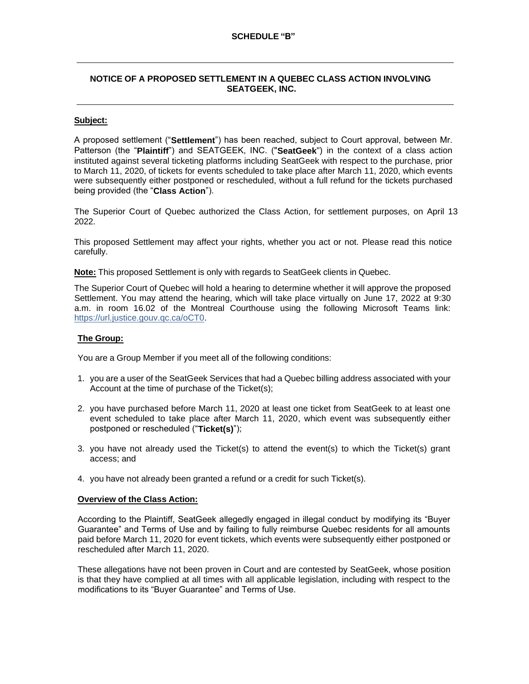# **NOTICE OF A PROPOSED SETTLEMENT IN A QUEBEC CLASS ACTION INVOLVING SEATGEEK, INC.**

### **Subject:**

A proposed settlement ("**Settlement**") has been reached, subject to Court approval, between Mr. Patterson (the "**Plaintiff**") and SEATGEEK, INC. ("**SeatGeek**") in the context of a class action instituted against several ticketing platforms including SeatGeek with respect to the purchase, prior to March 11, 2020, of tickets for events scheduled to take place after March 11, 2020, which events were subsequently either postponed or rescheduled, without a full refund for the tickets purchased being provided (the "**Class Action**").

The Superior Court of Quebec authorized the Class Action, for settlement purposes, on April 13 2022.

This proposed Settlement may affect your rights, whether you act or not. Please read this notice carefully.

**Note:** This proposed Settlement is only with regards to SeatGeek clients in Quebec.

The Superior Court of Quebec will hold a hearing to determine whether it will approve the proposed Settlement. You may attend the hearing, which will take place virtually on June 17, 2022 at 9:30 a.m. in room 16.02 of the Montreal Courthouse using the following Microsoft Teams link: https://url.justice.gouv.qc.ca/oCT0.

### **The Group:**

You are a Group Member if you meet all of the following conditions:

- 1. you are a user of the SeatGeek Services that had a Quebec billing address associated with your Account at the time of purchase of the Ticket(s);
- 2. you have purchased before March 11, 2020 at least one ticket from SeatGeek to at least one event scheduled to take place after March 11, 2020, which event was subsequently either postponed or rescheduled ("**Ticket(s)**");
- 3. you have not already used the Ticket(s) to attend the event(s) to which the Ticket(s) grant access; and
- 4. you have not already been granted a refund or a credit for such Ticket(s).

#### **Overview of the Class Action:**

According to the Plaintiff, SeatGeek allegedly engaged in illegal conduct by modifying its "Buyer Guarantee" and Terms of Use and by failing to fully reimburse Quebec residents for all amounts paid before March 11, 2020 for event tickets, which events were subsequently either postponed or rescheduled after March 11, 2020.

These allegations have not been proven in Court and are contested by SeatGeek, whose position is that they have complied at all times with all applicable legislation, including with respect to the modifications to its "Buyer Guarantee" and Terms of Use.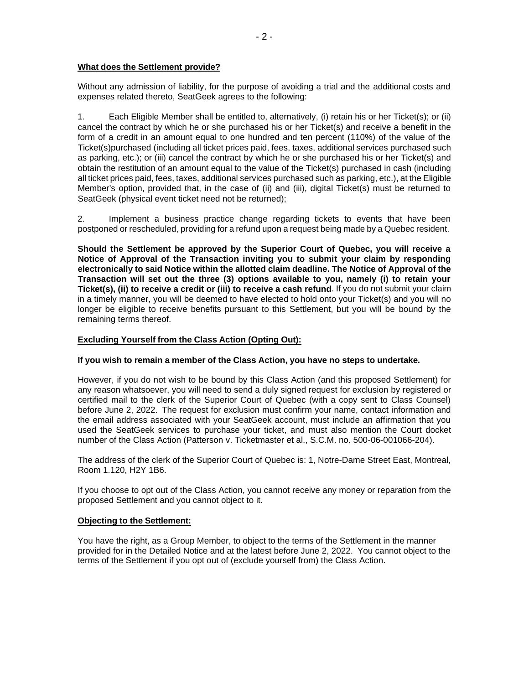# **What does the Settlement provide?**

Without any admission of liability, for the purpose of avoiding a trial and the additional costs and expenses related thereto, SeatGeek agrees to the following:

1. Each Eligible Member shall be entitled to, alternatively, (i) retain his or her Ticket(s); or (ii) cancel the contract by which he or she purchased his or her Ticket(s) and receive a benefit in the form of a credit in an amount equal to one hundred and ten percent (110%) of the value of the Ticket(s)purchased (including all ticket prices paid, fees, taxes, additional services purchased such as parking, etc.); or (iii) cancel the contract by which he or she purchased his or her Ticket(s) and obtain the restitution of an amount equal to the value of the Ticket(s) purchased in cash (including all ticket prices paid, fees, taxes, additional services purchased such as parking, etc.), at the Eligible Member's option, provided that, in the case of (ii) and (iii), digital Ticket(s) must be returned to SeatGeek (physical event ticket need not be returned);

2. Implement a business practice change regarding tickets to events that have been postponed or rescheduled, providing for a refund upon a request being made by a Quebec resident.

**Should the Settlement be approved by the Superior Court of Quebec, you will receive a Notice of Approval of the Transaction inviting you to submit your claim by responding electronically to said Notice within the allotted claim deadline. The Notice of Approval of the Transaction will set out the three (3) options available to you, namely (i) to retain your Ticket(s), (ii) to receive a credit or (iii) to receive a cash refund**. If you do not submit your claim in a timely manner, you will be deemed to have elected to hold onto your Ticket(s) and you will no longer be eligible to receive benefits pursuant to this Settlement, but you will be bound by the remaining terms thereof.

# **Excluding Yourself from the Class Action (Opting Out):**

### **If you wish to remain a member of the Class Action, you have no steps to undertake.**

However, if you do not wish to be bound by this Class Action (and this proposed Settlement) for any reason whatsoever, you will need to send a duly signed request for exclusion by registered or certified mail to the clerk of the Superior Court of Quebec (with a copy sent to Class Counsel) before June 2, 2022. The request for exclusion must confirm your name, contact information and the email address associated with your SeatGeek account, must include an affirmation that you used the SeatGeek services to purchase your ticket, and must also mention the Court docket number of the Class Action (Patterson v. Ticketmaster et al., S.C.M. no. 500-06-001066-204).

The address of the clerk of the Superior Court of Quebec is: 1, Notre-Dame Street East, Montreal, Room 1.120, H2Y 1B6.

If you choose to opt out of the Class Action, you cannot receive any money or reparation from the proposed Settlement and you cannot object to it.

#### **Objecting to the Settlement:**

You have the right, as a Group Member, to object to the terms of the Settlement in the manner provided for in the Detailed Notice and at the latest before June 2, 2022. You cannot object to the terms of the Settlement if you opt out of (exclude yourself from) the Class Action.